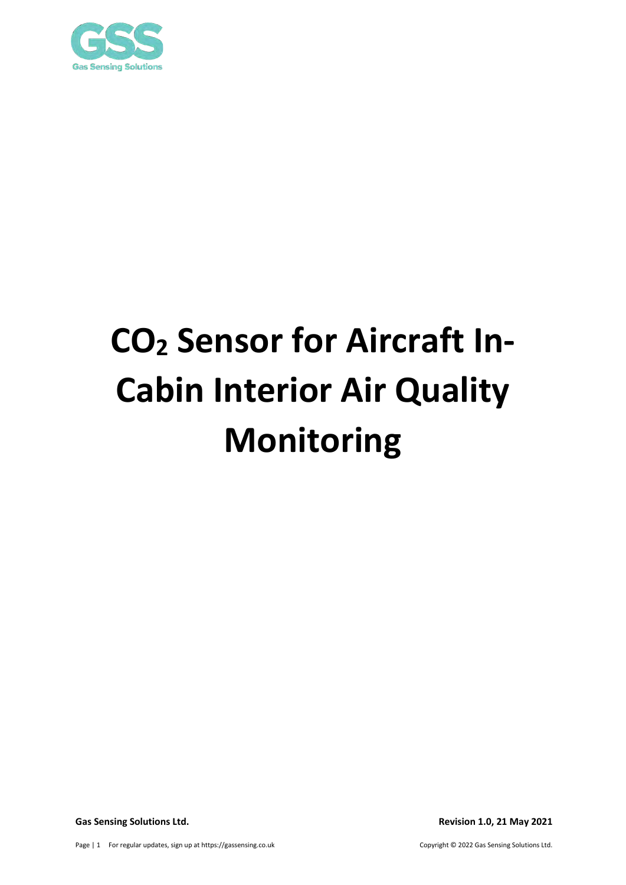

# **CO2 Sensor for Aircraft In-Cabin Interior Air Quality Monitoring**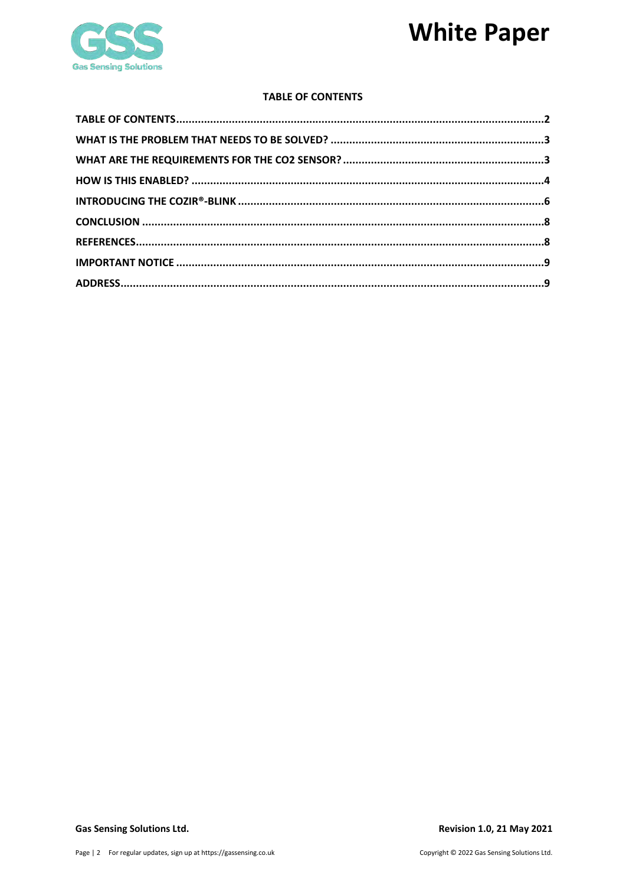### **White Paper**



#### **TABLE OF CONTENTS**

<span id="page-1-0"></span>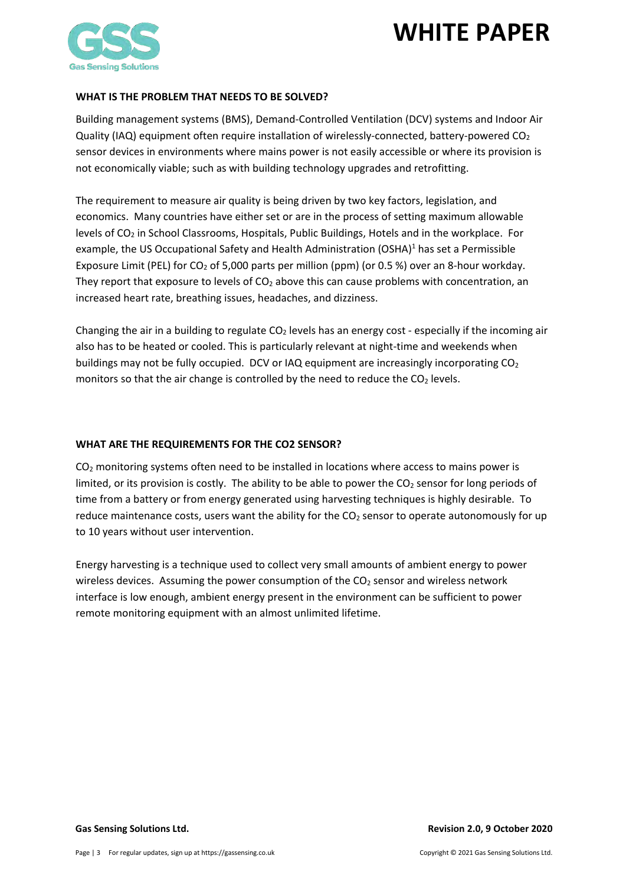

#### <span id="page-2-0"></span>**WHAT IS THE PROBLEM THAT NEEDS TO BE SOLVED?**

Building management systems (BMS), Demand-Controlled Ventilation (DCV) systems and Indoor Air Quality (IAQ) equipment often require installation of wirelessly-connected, battery-powered  $CO<sub>2</sub>$ sensor devices in environments where mains power is not easily accessible or where its provision is not economically viable; such as with building technology upgrades and retrofitting.

The requirement to measure air quality is being driven by two key factors, legislation, and economics. Many countries have either set or are in the process of setting maximum allowable levels of CO2 in School Classrooms, Hospitals, Public Buildings, Hotels and in the workplace. For example, the US Occupational Safety and Health Administration (OSHA) $<sup>1</sup>$  has set a Permissible</sup> Exposure Limit (PEL) for  $CO<sub>2</sub>$  of 5,000 parts per million (ppm) (or 0.5 %) over an 8-hour workday. They report that exposure to levels of  $CO<sub>2</sub>$  above this can cause problems with concentration, an increased heart rate, breathing issues, headaches, and dizziness.

Changing the air in a building to regulate  $CO<sub>2</sub>$  levels has an energy cost - especially if the incoming air also has to be heated or cooled. This is particularly relevant at night-time and weekends when buildings may not be fully occupied. DCV or IAQ equipment are increasingly incorporating  $CO<sub>2</sub>$ monitors so that the air change is controlled by the need to reduce the  $CO<sub>2</sub>$  levels.

### <span id="page-2-1"></span>**WHAT ARE THE REQUIREMENTS FOR THE CO2 SENSOR?**

CO<sub>2</sub> monitoring systems often need to be installed in locations where access to mains power is limited, or its provision is costly. The ability to be able to power the  $CO<sub>2</sub>$  sensor for long periods of time from a battery or from energy generated using harvesting techniques is highly desirable. To reduce maintenance costs, users want the ability for the  $CO<sub>2</sub>$  sensor to operate autonomously for up to 10 years without user intervention.

Energy harvesting is a technique used to collect very small amounts of ambient energy to power wireless devices. Assuming the power consumption of the  $CO<sub>2</sub>$  sensor and wireless network interface is low enough, ambient energy present in the environment can be sufficient to power remote monitoring equipment with an almost unlimited lifetime.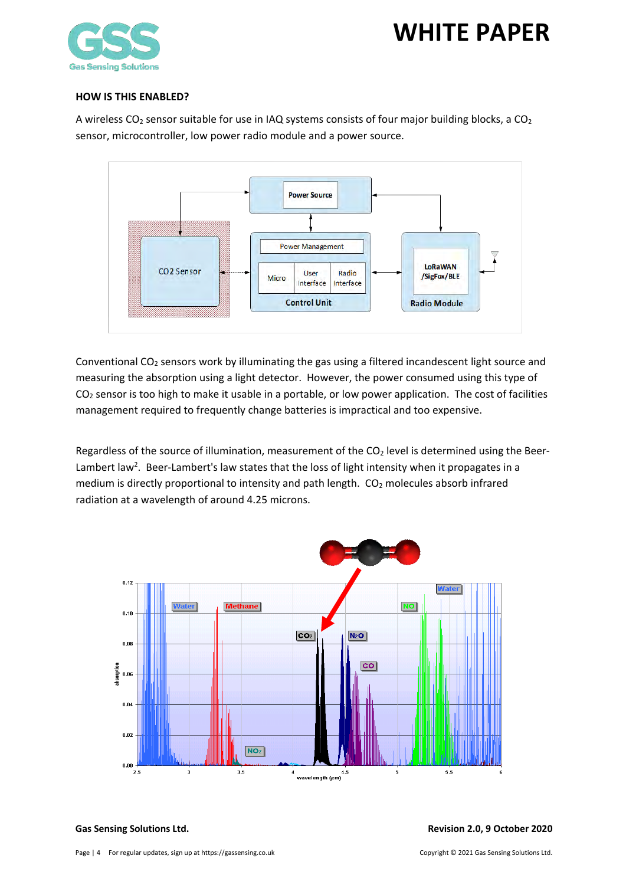

#### <span id="page-3-0"></span>**HOW IS THIS ENABLED?**

A wireless  $CO_2$  sensor suitable for use in IAQ systems consists of four major building blocks, a  $CO_2$ sensor, microcontroller, low power radio module and a power source.



Conventional CO<sub>2</sub> sensors work by illuminating the gas using a filtered incandescent light source and measuring the absorption using a light detector. However, the power consumed using this type of  $CO<sub>2</sub>$  sensor is too high to make it usable in a portable, or low power application. The cost of facilities management required to frequently change batteries is impractical and too expensive.

Regardless of the source of illumination, measurement of the  $CO<sub>2</sub>$  level is determined using the Beer-Lambert law<sup>2</sup>. Beer-Lambert's law states that the loss of light intensity when it propagates in a medium is directly proportional to intensity and path length. CO<sub>2</sub> molecules absorb infrared radiation at a wavelength of around 4.25 microns.

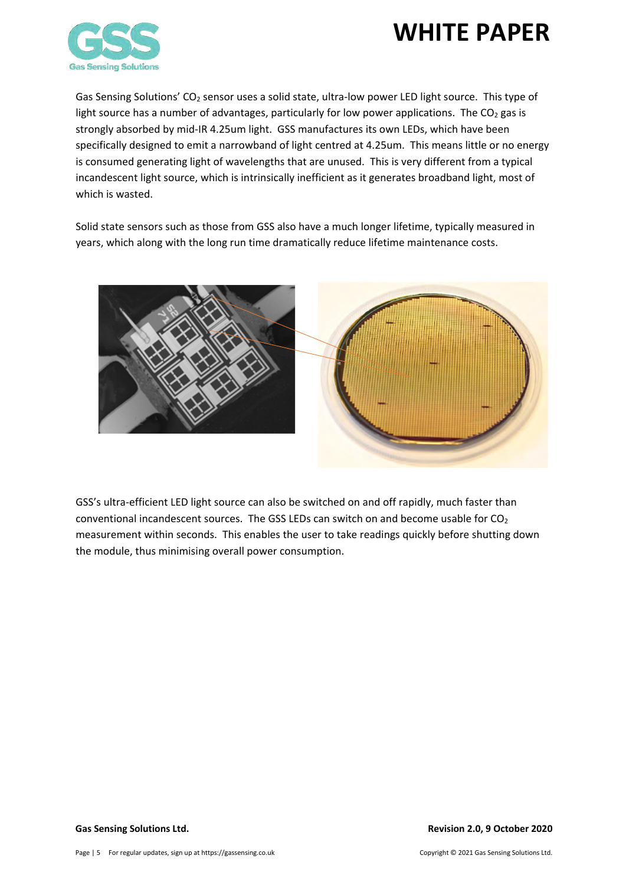

Gas Sensing Solutions'  $CO<sub>2</sub>$  sensor uses a solid state, ultra-low power LED light source. This type of light source has a number of advantages, particularly for low power applications. The  $CO<sub>2</sub>$  gas is strongly absorbed by mid-IR 4.25um light. GSS manufactures its own LEDs, which have been specifically designed to emit a narrowband of light centred at 4.25um. This means little or no energy is consumed generating light of wavelengths that are unused. This is very different from a typical incandescent light source, which is intrinsically inefficient as it generates broadband light, most of which is wasted.

Solid state sensors such as those from GSS also have a much longer lifetime, typically measured in years, which along with the long run time dramatically reduce lifetime maintenance costs.



GSS's ultra-efficient LED light source can also be switched on and off rapidly, much faster than conventional incandescent sources. The GSS LEDs can switch on and become usable for  $CO<sub>2</sub>$ measurement within seconds. This enables the user to take readings quickly before shutting down the module, thus minimising overall power consumption.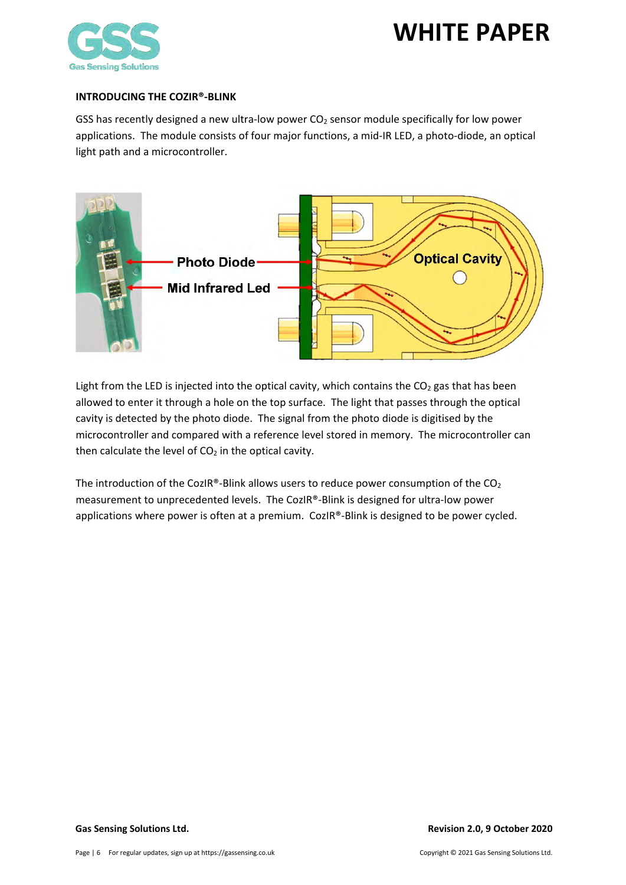

#### <span id="page-5-0"></span>**INTRODUCING THE COZIR®-BLINK**

GSS has recently designed a new ultra-low power  $CO<sub>2</sub>$  sensor module specifically for low power applications. The module consists of four major functions, a mid-IR LED, a photo-diode, an optical light path and a microcontroller.



Light from the LED is injected into the optical cavity, which contains the  $CO<sub>2</sub>$  gas that has been allowed to enter it through a hole on the top surface. The light that passes through the optical cavity is detected by the photo diode. The signal from the photo diode is digitised by the microcontroller and compared with a reference level stored in memory. The microcontroller can then calculate the level of  $CO<sub>2</sub>$  in the optical cavity.

The introduction of the CozIR®-Blink allows users to reduce power consumption of the  $CO<sub>2</sub>$ measurement to unprecedented levels. The CozIR®-Blink is designed for ultra-low power applications where power is often at a premium. CozIR®-Blink is designed to be power cycled.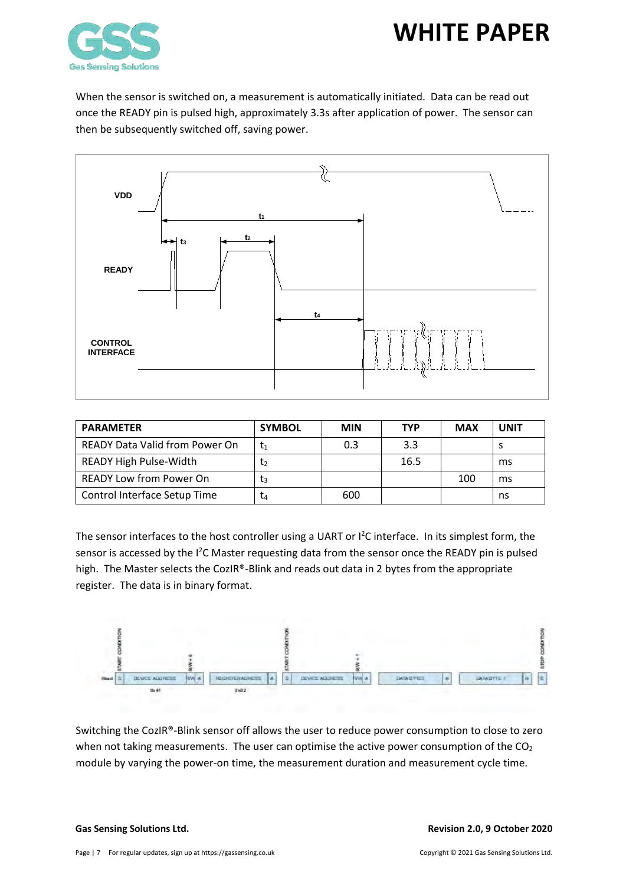

When the sensor is switched on, a measurement is automatically initiated. Data can be read out once the READY pin is pulsed high, approximately 3.3s after application of power. The sensor can then be subsequently switched off, saving power.



| <b>PARAMETER</b>                      | <b>SYMBOL</b> | <b>MIN</b> | <b>TYP</b> | <b>MAX</b> | <b>UNIT</b> |
|---------------------------------------|---------------|------------|------------|------------|-------------|
| <b>READY Data Valid from Power On</b> | t1            | 0.3        | 3.3        |            |             |
| READY High Pulse-Width                | Ţ2            |            | 16.5       |            | ms          |
| <b>READY Low from Power On</b>        | Ţз            |            |            | 100        | ms          |
| Control Interface Setup Time          | L4            | 600        |            |            | ns          |

The sensor interfaces to the host controller using a UART or  $I^2C$  interface. In its simplest form, the sensor is accessed by the I<sup>2</sup>C Master requesting data from the sensor once the READY pin is pulsed high. The Master selects the CozIR®-Blink and reads out data in 2 bytes from the appropriate register. The data is in binary format.



Switching the CozIR®-Blink sensor off allows the user to reduce power consumption to close to zero when not taking measurements. The user can optimise the active power consumption of the  $CO<sub>2</sub>$ module by varying the power-on time, the measurement duration and measurement cycle time.

#### **Gas Sensing Solutions Ltd. Revision 2.0, 9 October 2020**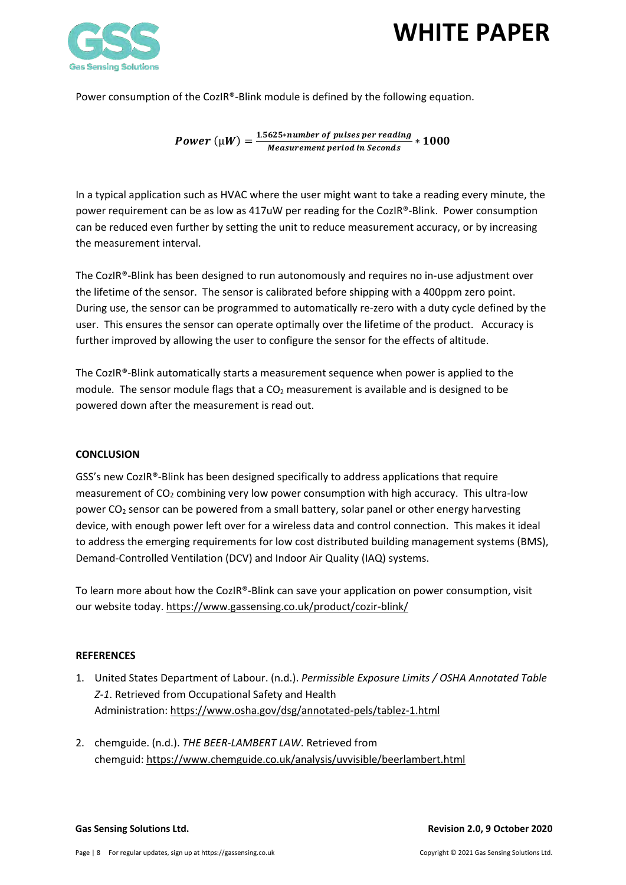

Power consumption of the CozIR®-Blink module is defined by the following equation.

Power  $(\mu W) = \frac{1.5625*number~of~pulses~per~reading}{Measurement~period~in~seconds} * 1000$ 

In a typical application such as HVAC where the user might want to take a reading every minute, the power requirement can be as low as 417uW per reading for the CozIR®-Blink. Power consumption can be reduced even further by setting the unit to reduce measurement accuracy, or by increasing the measurement interval.

The CozIR®-Blink has been designed to run autonomously and requires no in-use adjustment over the lifetime of the sensor. The sensor is calibrated before shipping with a 400ppm zero point. During use, the sensor can be programmed to automatically re-zero with a duty cycle defined by the user. This ensures the sensor can operate optimally over the lifetime of the product. Accuracy is further improved by allowing the user to configure the sensor for the effects of altitude.

The CozIR®-Blink automatically starts a measurement sequence when power is applied to the module. The sensor module flags that a  $CO<sub>2</sub>$  measurement is available and is designed to be powered down after the measurement is read out.

#### <span id="page-7-0"></span>**CONCLUSION**

GSS's new CozIR®-Blink has been designed specifically to address applications that require measurement of  $CO<sub>2</sub>$  combining very low power consumption with high accuracy. This ultra-low power  $CO<sub>2</sub>$  sensor can be powered from a small battery, solar panel or other energy harvesting device, with enough power left over for a wireless data and control connection. This makes it ideal to address the emerging requirements for low cost distributed building management systems (BMS), Demand-Controlled Ventilation (DCV) and Indoor Air Quality (IAQ) systems.

To learn more about how the CozIR®-Blink can save your application on power consumption, visit our website today.<https://www.gassensing.co.uk/product/cozir-blink/>

#### <span id="page-7-1"></span>**REFERENCES**

- 1. United States Department of Labour. (n.d.). *Permissible Exposure Limits / OSHA Annotated Table Z-1*. Retrieved from Occupational Safety and Health Administration: <https://www.osha.gov/dsg/annotated-pels/tablez-1.html>
- 2. chemguide. (n.d.). *THE BEER-LAMBERT LAW*. Retrieved from chemguid: <https://www.chemguide.co.uk/analysis/uvvisible/beerlambert.html>